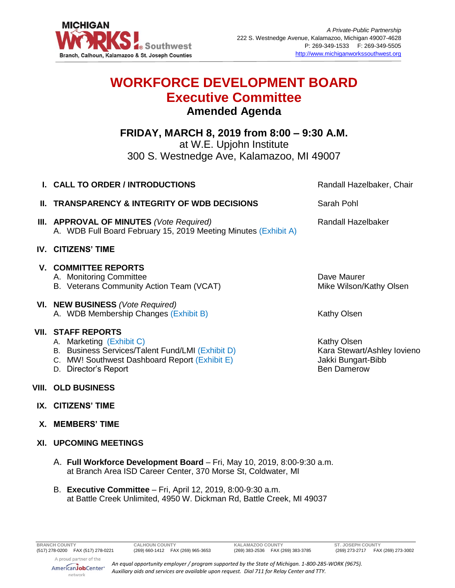

## **WORKFORCE DEVELOPMENT BOARD Executive Committee Amended Agenda**

**FRIDAY, MARCH 8, 2019 from 8:00 – 9:30 A.M.** at W.E. Upjohn Institute 300 S. Westnedge Ave, Kalamazoo, MI 49007

| I. CALL TO ORDER / INTRODUCTIONS                                                                                                                                                   | Randall Hazelbaker, Chair                                                                     |
|------------------------------------------------------------------------------------------------------------------------------------------------------------------------------------|-----------------------------------------------------------------------------------------------|
| <b>II. TRANSPARENCY &amp; INTEGRITY OF WDB DECISIONS</b>                                                                                                                           | Sarah Pohl                                                                                    |
| III. APPROVAL OF MINUTES (Vote Required)<br>A. WDB Full Board February 15, 2019 Meeting Minutes (Exhibit A)                                                                        | Randall Hazelbaker                                                                            |
| <b>IV. CITIZENS' TIME</b>                                                                                                                                                          |                                                                                               |
| <b>V. COMMITTEE REPORTS</b><br>A. Monitoring Committee<br>B. Veterans Community Action Team (VCAT)                                                                                 | Dave Maurer<br>Mike Wilson/Kathy Olsen                                                        |
| VI. NEW BUSINESS (Vote Required)<br>A. WDB Membership Changes (Exhibit B)                                                                                                          | Kathy Olsen                                                                                   |
| <b>VII. STAFF REPORTS</b><br>A. Marketing (Exhibit C)<br>B. Business Services/Talent Fund/LMI (Exhibit D)<br>C. MW! Southwest Dashboard Report (Exhibit E)<br>D. Director's Report | <b>Kathy Olsen</b><br>Kara Stewart/Ashley Iovieno<br>Jakki Bungart-Bibb<br><b>Ben Damerow</b> |
| <b>VIII. OLD BUSINESS</b>                                                                                                                                                          |                                                                                               |
| IX. CITIZENS' TIME                                                                                                                                                                 |                                                                                               |
| X. MEMBERS' TIME                                                                                                                                                                   |                                                                                               |
| <b>XI. UPCOMING MEETINGS</b>                                                                                                                                                       |                                                                                               |

- A. **Full Workforce Development Board**  Fri, May 10, 2019, 8:00-9:30 a.m. at Branch Area ISD Career Center, 370 Morse St, Coldwater, MI
- B. **Executive Committee** Fri, April 12, 2019, 8:00-9:30 a.m. at Battle Creek Unlimited, 4950 W. Dickman Rd, Battle Creek, MI 49037

**BRANCH COUNTY CALHOUN COUNTY KALAMAZOO COUNTY ST. JOSEPH COUNTY**